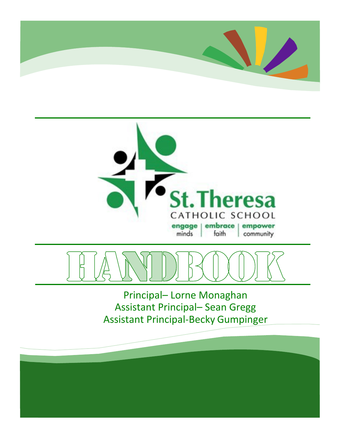





Principal– Lorne Monaghan Assistant Principal– Sean Gregg Assistant Principal-Becky Gumpinger

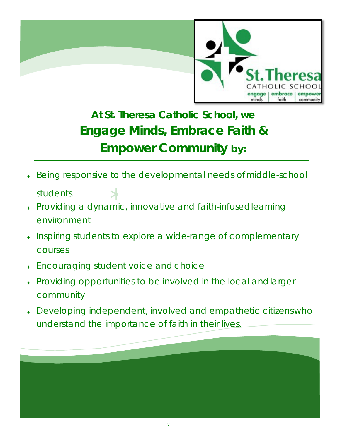

# **At St. Theresa Catholic School, we Engage Minds, Embrace Faith & Empower Community by:**

Being responsive to the developmental needs of middle-school

students

- \* ♦ Providing a dynamic, innovative and faith-infusedlearning environment
- Inspiring students to explore a wide-range of complementary courses
- **Encouraging student voice and choice**
- Providing opportunities to be involved in the local and larger community
- Developing independent, involved and empathetic citizenswho understand the importance of faith in their lives.

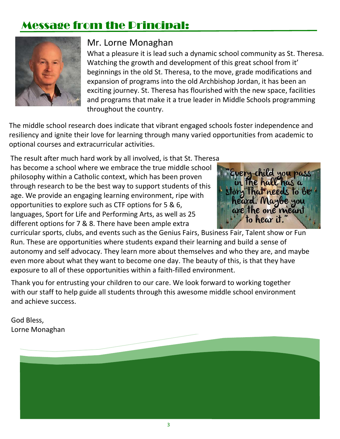# Message from the Principal:



### Mr. Lorne Monaghan

What a pleasure it is lead such a dynamic school community as St. Theresa. Watching the growth and development of this great school from it' beginnings in the old St. Theresa, to the move, grade modifications and expansion of programs into the old Archbishop Jordan, it has been an exciting journey. St. Theresa has flourished with the new space, facilities and programs that make it a true leader in Middle Schools programming throughout the country.

The middle school research does indicate that vibrant engaged schools foster independence and resiliency and ignite their love for learning through many varied opportunities from academic to optional courses and extracurricular activities.

The result after much hard work by all involved, is that St. Theresa has become a school where we embrace the true middle school philosophy within a Catholic context, which has been proven through research to be the best way to support students of this age. We provide an engaging learning environment, ripe with opportunities to explore such as CTF options for 5 & 6, languages, Sport for Life and Performing Arts, as well as 25 different options for 7 & 8. There have been ample extra



curricular sports, clubs, and events such as the Genius Fairs, Business Fair, Talent show or Fun Run. These are opportunities where students expand their learning and build a sense of autonomy and self advocacy. They learn more about themselves and who they are, and maybe even more about what they want to become one day. The beauty of this, is that they have exposure to all of these opportunities within a faith-filled environment.

Thank you for entrusting your children to our care. We look forward to working together with our staff to help guide all students through this awesome middle school environment and achieve success.

God Bless, Lorne Monaghan

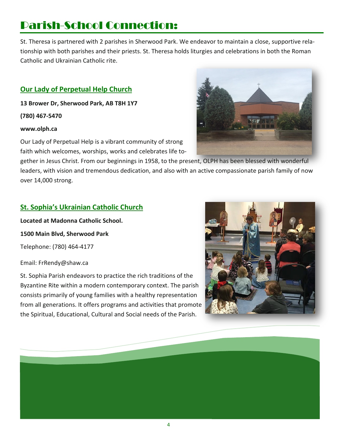# Parish-School Connection:

St. Theresa is partnered with 2 parishes in Sherwood Park. We endeavor to maintain a close, supportive relationship with both parishes and their priests. St. Theresa holds liturgies and celebrations in both the Roman Catholic and Ukrainian Catholic rite.

#### **Our Lady of Perpetual Help Church**

**13 Brower Dr, Sherwood Park, AB T8H 1Y7** 

**(780) 467-5470**

#### **[www.olph.ca](http://www.olph.ca/)**

Our Lady of Perpetual Help is a vibrant community of strong faith which welcomes, worships, works and celebrates life to-

gether in Jesus Christ. From our beginnings in 1958, to the present, OLPH has been blessed with wonderful leaders, with vision and tremendous dedication, and also with an active compassionate parish family of now over 14,000 strong.

# \* **St. Sophia's Ukrainian Catholic Church**

**Located at Madonna Catholic School. 1500 Main Blvd, Sherwood Park**  Telephone: (780) 464-4177

Email: [FrRendy@shaw.ca](mailto:FrRendy@shaw.ca)

St. Sophia Parish endeavors to practice the rich traditions of the Byzantine Rite within a modern contemporary context. The parish consists primarily of young families with a healthy representation from all generations. It offers programs and activities that promote the Spiritual, Educational, Cultural and Social needs of the Parish.





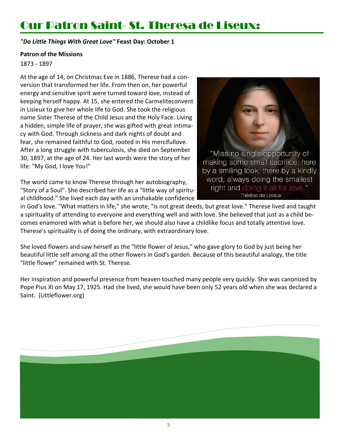# Our Patron Saint- St. Theresa de Liseux:

*"Do Little Things With Great Love"* **Feast Day: October 1** 

#### **Patron of the Missions**

#### 1873 - 1897

At the age of 14, on Christmas Eve in 1886, Therese had a conversion that transformed her life. From then on, her powerful energy and sensitive spirit were turned toward love, instead of keeping herself happy. At 15, she entered the Carmeliteconvent in Lisieux to give her whole life to God. She took the religious name Sister Therese of the Child Jesus and the Holy Face. Living a hidden, simple life of prayer, she was gifted with great intimacy with God. Through sickness and dark nights of doubt and fear, she remained faithful to God, rooted in His mercifullove. After a long struggle with tuberculosis, she died on September 30, 1897, at the age of 24. Her last words were the story of her life: "My God, I love You!"

er li<br>with<br>fe," The world came to know Therese through her autobiography, "Story of a Soul". She described her life as a "little way of spiritual childhood." She lived each day with an unshakable confidence



in God's love. "What matters in life," she wrote, "is not great deeds, but great love." Therese lived and taught a spirituality of attending to everyone and everything well and with love. She believed that just as a child becomes enamored with what is before her, we should also have a childlike focus and totally attentive love. Therese's spirituality is of doing the ordinary, with extraordinary love.

She loved flowers and saw herself as the "little flower of Jesus," who gave glory to God by just being her beautiful little self among all the other flowers in God's garden. Because of this beautiful analogy, the title "little flower" remained with St. Therese.

Her inspiration and powerful presence from heaven touched many people very quickly. She was canonized by Pope Pius XI on May 17, 1925. Had she lived, she would have been only 52 years old when she was declared a Saint. (Littleflower.org)

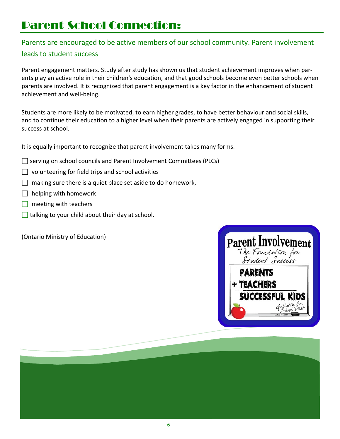# Parent-School Connection:

### Parents are encouraged to be active members of our school community. Parent involvement leads to student success

Parent engagement matters. Study after study has shown us that student achievement improves when parents play an active role in their children's education, and that good schools become even better schools when parents are involved. It is recognized that parent engagement is a key factor in the enhancement of student achievement and well-being.

Students are more likely to be motivated, to earn higher grades, to have better behaviour and social skills, and to continue their education to a higher level when their parents are actively engaged in supporting their success at school.

It is equally important to recognize that parent involvement takes many forms.

- $\Box$  serving on school councils and Parent Involvement Committees (PLCs)
- $\Box$  volunteering for field trips and school activities
- $\Box$  making sure there is a quiet place set aside to do homework,
- $\Box$  helping with homework
- $\Box$  meeting with teachers
- $\frac{1}{2}$  $\Box$  talking to your child about their day at school.

(Ontario Ministry of Education)



6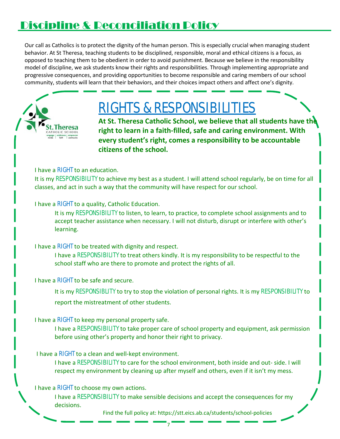# Discipline & Reconciliation Policy

Our call as Catholics is to protect the dignity of the human person. This is especially crucial when managing student behavior. At St Theresa, teaching students to be disciplined, responsible, moral and ethical citizens is a focus, as opposed to teaching them to be obedient in order to avoid punishment. Because we believe in the responsibility model of discipline, we ask students know their rights and responsibilities. Through implementing appropriate and progressive consequences, and providing opportunities to become responsible and caring members of our school community, students will learn that their behaviors, and their choices impact others and affect one's dignity.



# RIGHTS & RESPONSIBILITIES

**At St. Theresa Catholic School, we believe that all students have the right to learn in a faith-filled, safe and caring environment. With every student's right, comes a responsibility to be accountable citizens of the school.**

#### I have a RIGHT to an education.

It is my RESPONSIBILITY to achieve my best as a student. I will attend school regularly, be on time for all classes, and act in such a way that the community will have respect for our school.

#### I have a RIGHT to a quality, Catholic Education.

It is my RESPONSIBILITY to listen, to learn, to practice, to complete school assignments and to accept teacher assistance when necessary. I will not disturb, disrupt or interfere with other's learning.

#### I have a RIGHT to be treated with dignity and respect.

I have a RESPONSIBILITY to treat others kindly. It is my responsibility to be respectful to the school staff who are there to promote and protect the rights of all.

#### I have a **RIGHT** to be safe and secure.

It is my RESPONSIBLITY to try to stop the violation of personal rights. It is my RESPONSIBILITY to report the mistreatment of other students.

#### I have a RIGHT to keep my personal property safe.

I have a RESPONSIBILITY to take proper care of school property and equipment, ask permission before using other's property and honor their right to privacy.

#### I have a RIGHT to a clean and well-kept environment.

I have a RESPONSIBILITY to care for the school environment, both inside and out- side. I will respect my environment by cleaning up after myself and others, even if it isn't my mess.

#### I have a **RIGHT** to choose my own actions.

I have a RESPONSIBILITY to make sensible decisions and accept the consequences for my decisions.

Find the full policy at: https://stt.eics.ab.ca/students/school-policies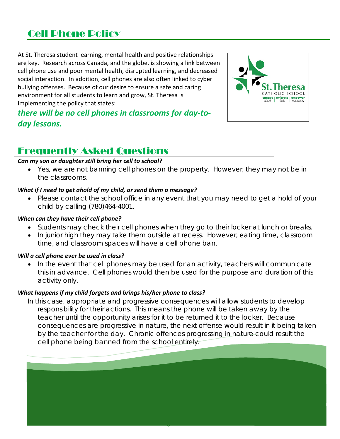## Cell Phone Policy

At St. Theresa student learning, mental health and positive relationships are key. Research across Canada, and the globe, is showing a link between cell phone use and poor mental health, disrupted learning, and decreased social interaction. In addition, cell phones are also often linked to cyber bullying offenses. Because of our desire to ensure a safe and caring environment for all students to learn and grow, St. Theresa is implementing the policy that states:



### *there will be no cell phones in classrooms for day-today lessons.*

### Frequently Asked Questions

#### *Can my son or daughter still bring her cell to school?*

• Yes, we are not banning cell phones on the property. However, they may not be in *the classrooms.* 

#### *What if I need to get ahold of my child, or send them a message?*

• *Please contact the school office in any event that you may need to get a hold of your child by calling (780)464-4001.*

#### *When can they have their cell phone?*

- *Students may check their cell phones when they go to their locker at lunch or breaks.*
- *In junior high they may take them outside at recess. However, eating time, classroom time, and classroom spaces will have a cell phone ban.*

#### *Will a cell phone ever be used in class?*

• *In the event that cell phones may be used for an activity, teachers will communicate this in advance. Cell phones would then be used for the purpose and duration of this activity only.* 

#### *What happens if my child forgets and brings his/her phone to class?*

*In this case, appropriate and progressive consequences will allow students to develop*  responsibility for their actions. This means the phone will be taken away by the *teacher until the opportunity arises for it to be returned it to the locker. Because consequences are progressive in nature, the next offense would result in it being taken by the teacher for the day. Chronic offences progressing in nature could result the cell phone being banned from the school entirely.* 

8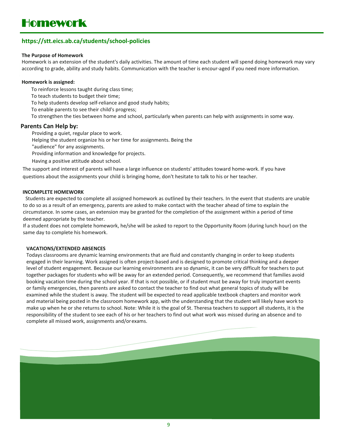#### **https://stt.eics.ab.ca/students/school-policies**

#### **The Purpose of Homework**

Homework is an extension of the student's daily activities. The amount of time each student will spend doing homework may vary according to grade, ability and study habits. Communication with the teacher is encour-aged if you need more information.

#### **Homework is assigned:**

To reinforce lessons taught during class time;

To teach students to budget their time;

To help students develop self-reliance and good study habits;

To enable parents to see their child's progress;

To strengthen the ties between home and school, particularly when parents can help with assignments in some way.

#### **Parents Can Help by:**

Providing a quiet, regular place to work.

Helping the student organize his or her time for assignments. Being the

"audience" for any assignments.

Providing information and knowledge for projects.

Having a positive attitude about school.

The support and interest of parents will have a large influence on students' attitudes toward home-work. If you have questions about the assignments your child is bringing home, don't hesitate to talk to his or her teacher.

#### **INCOMPLETE HOMEWORK**

Students are expected to complete all assigned homework as outlined by their teachers. In the event that students are unable to do so as a result of an emergency, parents are asked to make contact with the teacher ahead of time to explain the circumstance. In some cases, an extension may be granted for the completion of the assignment within a period of time deemed appropriate by the teacher.

If a student does not complete homework, he/she will be asked to report to the Opportunity Room (during lunch hour) on the same day to complete his homework.

#### **VACATIONS/EXTENDED ABSENCES**

Todays classrooms are dynamic learning environments that are fluid and constantly changing in order to keep students engaged in their learning. Work assigned is often project-based and is designed to promote critical thinking and a deeper level of student engagement. Because our learning environments are so dynamic, it can be very difficult for teachers to put together packages for students who will be away for an extended period. Consequently, we recommend that families avoid booking vacation time during the school year. If that is not possible, or if student must be away for truly important events or family emergencies, then parents are asked to contact the teacher to find out what general topics of study will be examined while the student is away. The student will be expected to read applicable textbook chapters and monitor work and material being posted in the classroom homework app, with the understanding that the student will likely have work to make up when he or she returns to school. Note: While it is the goal of St. Theresa teachers to support all students, it is the responsibility of the student to see each of his or her teachers to find out what work was missed during an absence and to complete all missed work, assignments and/orexams.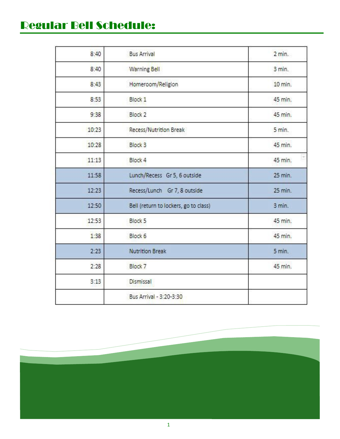# Regular Bell Schedule:

| 8:40  | <b>Bus Arrival</b>                    | $2 \text{ min.}$ |
|-------|---------------------------------------|------------------|
| 8:40  | <b>Warning Bell</b>                   | $3$ min.         |
| 8:43  | Homeroom/Religion                     | 10 min.          |
| 8:53  | Block 1                               | 45 min.          |
| 9:38  | Block <sub>2</sub>                    | 45 min.          |
| 10:23 | Recess/Nutrition Break                | 5 min.           |
| 10:28 | <b>Block 3</b>                        | 45 min.          |
| 11:13 | Block 4                               | E<br>45 min.     |
| 11:58 | Lunch/Recess Gr 5, 6 outside          | 25 min.          |
| 12:23 | Recess/Lunch Gr 7, 8 outside          | 25 min.          |
| 12:50 | Bell (return to lockers, go to class) | 3 min.           |
| 12:53 | Block <sub>5</sub>                    | 45 min.          |
| 1:38  | Block 6                               | 45 min.          |
| 2:23  | <b>Nutrition Break</b>                | 5 min.           |
| 2:28  | <b>Block 7</b>                        | 45 min.          |
| 3:13  | Dismissal                             |                  |
|       | Bus Arrival - 3:20-3:30               |                  |



1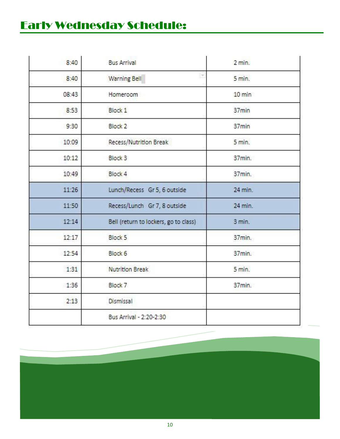# Early Wednesday Schedule:

| 8:40  | <b>Bus Arrival</b>                    | 2 min.             |
|-------|---------------------------------------|--------------------|
| 8:40  | E<br>Warning Bell                     | 5 min.             |
| 08:43 | Homeroom                              | $10 \text{ min}$   |
| 8:53  | Block 1                               | 37min              |
| 9:30  | Block <sub>2</sub>                    | 37min              |
| 10:09 | Recess/Nutrition Break                | 5 min.             |
| 10:12 | Block <sub>3</sub>                    | 37 <sub>min.</sub> |
| 10:49 | Block 4                               | 37min.             |
| 11:26 | Lunch/Recess Gr 5, 6 outside          | 24 min.            |
| 11:50 | Recess/Lunch Gr 7, 8 outside          | 24 min.            |
| 12:14 | Bell (return to lockers, go to class) | 3 min.             |
| 12:17 | Block <sub>5</sub>                    | 37min.             |
| 12:54 | Block 6                               | 37min.             |
| 1:31  | <b>Nutrition Break</b>                | 5 min.             |
| 1:36  | Block 7                               | 37min.             |
| 2:13  | Dismissal                             |                    |
|       | Bus Arrival - 2:20-2:30               |                    |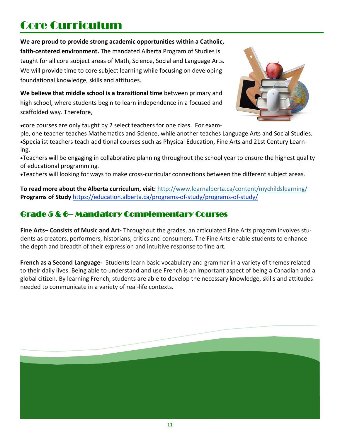# Core Curriculum

**We are proud to provide strong academic opportunities within a Catholic,** 

**faith-centered environment.** The mandated Alberta Program of Studies is taught for all core subject areas of Math, Science, Social and Language Arts. We will provide time to core subject learning while focusing on developing foundational knowledge, skills and attitudes.

**We believe that middle school is a transitional time** between primary and high school, where students begin to learn independence in a focused and scaffolded way. Therefore,



•core courses are only taught by 2 select teachers for one class. For exam-

ple, one teacher teaches Mathematics and Science, while another teaches Language Arts and Social Studies. •Specialist teachers teach additional courses such as Physical Education, Fine Arts and 21st Century Learning.

•Teachers will be engaging in collaborative planning throughout the school year to ensure the highest quality of educational programming.

•Teachers will looking for ways to make cross-curricular connections between the different subject areas.

curr<br><u>tion</u><br>[\\*](https://education.alberta.ca/programs-of-study/programs-of-study/)\* **To read more about the Albe[rta curric](https://education.alberta.ca/programs-of-study/programs-of-study/)ulum, visit:** <http://www.learnalberta.ca/content/mychildslearning/> **Programs of Study** <https://education.alberta.ca/programs-of-study/programs-of-study/>

### Grade 5 & 6– Mandatory Complementary Courses

**Fine Arts– Consists of Music and Art-** Throughout the grades, an articulated Fine Arts program involves students as creators, performers, historians, critics and consumers. The Fine Arts enable students to enhance the depth and breadth of their expression and intuitive response to fine art.

**French as a Second Language-** Students learn basic vocabulary and grammar in a variety of themes related to their daily lives. Being able to understand and use French is an important aspect of being a Canadian and a global citizen. By learning French, students are able to develop the necessary knowledge, skills and attitudes needed to communicate in a variety of real-life contexts.

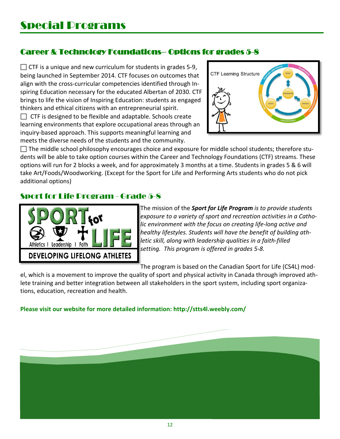### Career & Technology Foundations– Options for grades 5-8

 $\Box$  CTF is a unique and new curriculum for students in grades 5-9, being launched in September 2014. CTF focuses on outcomes that align with the cross-curricular competencies identified through Inspiring Education necessary for the educated Albertan of 2030. CTF brings to life the vision of Inspiring Education: students as engaged thinkers and ethical citizens with an entrepreneurial spirit.  $\Box$  CTF is designed to be flexible and adaptable. Schools create

learning environments that explore occupational areas through an inquiry-based approach. This supports meaningful learning and meets the diverse needs of the students and the community.



 $\Box$  The middle school philosophy encourages choice and exposure for middle school students; therefore students will be able to take option courses within the Career and Technology Foundations (CTF) streams. These options will run for 2 blocks a week, and for approximately 3 months at a time. Students in grades 5 & 6 will take Art/Foods/Woodworking. (Except for the Sport for Life and Performing Arts students who do not pick additional options)

### Sport for Life Program - Grade 5-8



The mission of the *Sport for Life Program is to provide students exposure to a variety of sport and recreation activities in a Catholic environment with the focus on creating life-long active and healthy lifestyles. Students will have the benefit of building athletic skill, along with leadership qualities in a faith-filled setting. This program is offered in grades 5-8.*

The program is based on the Canadian Sport for Life (CS4L) mod-

el, which is a movement to improve the quality of sport and physical activity in Canada through improved athlete training and better integration between all stakeholders in the sport system, including sport organizations, education, recreation and health.

**Please visit our website for more detailed information:<http://stts4l.weebly.com/>**

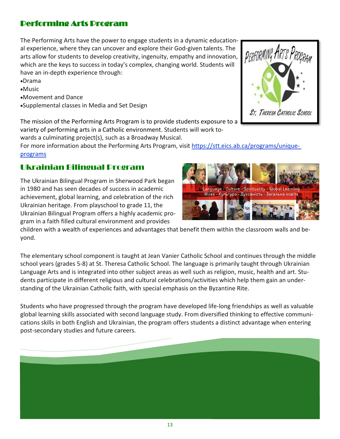### Performing Arts Program

The Performing Arts have the power to engage students in a dynamic educational experience, where they can uncover and explore their God-given talents. The arts allow for students to develop creativity, ingenuity, empathy and innovation, which are the keys to success in today's complex, changing world. Students will have an in-depth experience through:

- •Drama
- •Music
- •Movement and Dance
- •Supplemental classes in Media and Set Design

The mission of the Performing Arts Program is to provide students exposure to a

variety of performing arts in a Catholic environment. Students will work to-

wards a culminating project(s), such as a Broadway Musical.

For more information about the Performing Arts Program, visit [https://stt.eics.ab.ca/programs/unique](https://stt.eics.ab.ca/programs/unique-programs)[programs](https://stt.eics.ab.ca/programs/unique-programs)

### Ukrainian Bilingual Program

succ<br>d cel<br>ool t The Ukrainian Bilingual Program in Sherwood Park began in 1980 and has seen decades of success in academic achievement, global learning, and celebration of the rich Ukrainian heritage. From playschool to grade 11, the Ukrainian Bilingual Program offers a highly academic program in a faith filled cultural environment and provides

children with a wealth of experiences and advantages that benefit them within the classroom walls and beyond.

The elementary school component is taught at Jean Vanier Catholic School and continues through the middle school years (grades 5-8) at St. Theresa Catholic School. The language is primarily taught through Ukrainian Language Arts and is integrated into other subject areas as well such as religion, music, health and art. Students participate in different religious and cultural celebrations/activities which help them gain an understanding of the Ukrainian Catholic faith, with special emphasis on the Byzantine Rite.

Students who have progressed through the program have developed life-long friendships as well as valuable global learning skills associated with second language study. From diversified thinking to effective communications skills in both English and Ukrainian, the program offers students a distinct advantage when entering post-secondary studies and future careers.